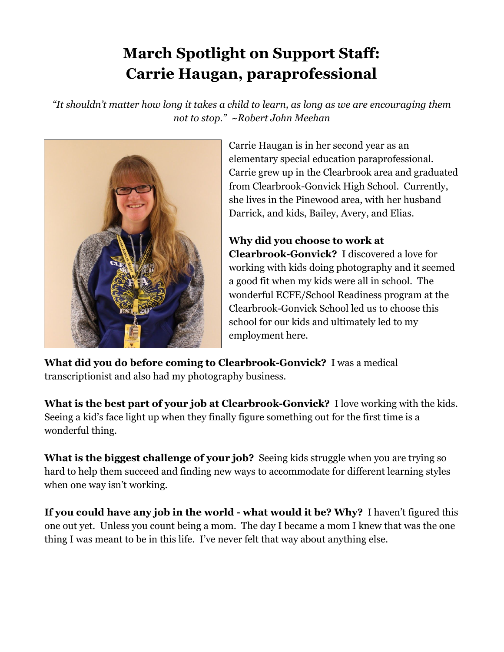## **March Spotlight on Support Staff: Carrie Haugan, paraprofessional**

*"It shouldn't matter how long it takes a child to learn, as long as we are encouraging them not to stop." ~Robert John Meehan*



Carrie Haugan is in her second year as an elementary special education paraprofessional. Carrie grew up in the Clearbrook area and graduated from Clearbrook-Gonvick High School. Currently, she lives in the Pinewood area, with her husband Darrick, and kids, Bailey, Avery, and Elias.

**Why did you choose to work at Clearbrook-Gonvick?** I discovered a love for working with kids doing photography and it seemed a good fit when my kids were all in school. The wonderful ECFE/School Readiness program at the Clearbrook-Gonvick School led us to choose this school for our kids and ultimately led to my employment here.

**What did you do before coming to Clearbrook-Gonvick?** I was a medical transcriptionist and also had my photography business.

**What is the best part of your job at Clearbrook-Gonvick?** I love working with the kids. Seeing a kid's face light up when they finally figure something out for the first time is a wonderful thing.

**What is the biggest challenge of your job?** Seeing kids struggle when you are trying so hard to help them succeed and finding new ways to accommodate for different learning styles when one way isn't working.

**If you could have any job in the world - what would it be? Why?** I haven't figured this one out yet. Unless you count being a mom. The day I became a mom I knew that was the one thing I was meant to be in this life. I've never felt that way about anything else.